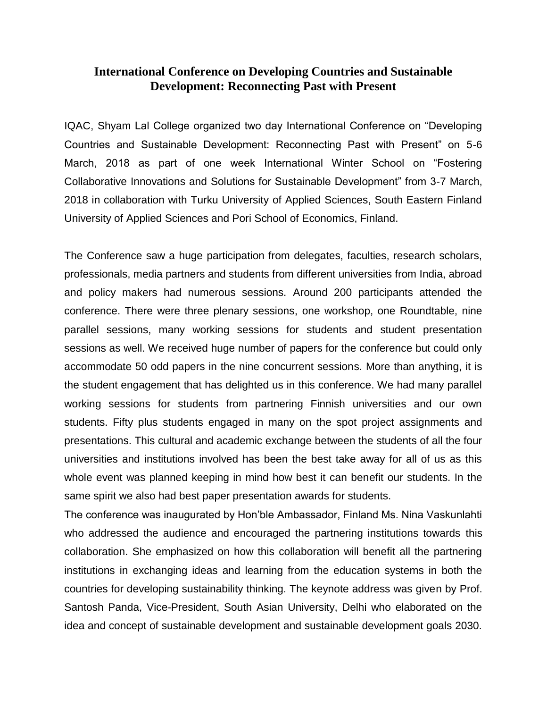# **International Conference on Developing Countries and Sustainable Development: Reconnecting Past with Present**

IQAC, Shyam Lal College organized two day International Conference on "Developing Countries and Sustainable Development: Reconnecting Past with Present" on 5-6 March, 2018 as part of one week International Winter School on "Fostering Collaborative Innovations and Solutions for Sustainable Development" from 3-7 March, 2018 in collaboration with Turku University of Applied Sciences, South Eastern Finland University of Applied Sciences and Pori School of Economics, Finland.

The Conference saw a huge participation from delegates, faculties, research scholars, professionals, media partners and students from different universities from India, abroad and policy makers had numerous sessions. Around 200 participants attended the conference. There were three plenary sessions, one workshop, one Roundtable, nine parallel sessions, many working sessions for students and student presentation sessions as well. We received huge number of papers for the conference but could only accommodate 50 odd papers in the nine concurrent sessions. More than anything, it is the student engagement that has delighted us in this conference. We had many parallel working sessions for students from partnering Finnish universities and our own students. Fifty plus students engaged in many on the spot project assignments and presentations. This cultural and academic exchange between the students of all the four universities and institutions involved has been the best take away for all of us as this whole event was planned keeping in mind how best it can benefit our students. In the same spirit we also had best paper presentation awards for students.

The conference was inaugurated by Hon'ble Ambassador, Finland Ms. Nina Vaskunlahti who addressed the audience and encouraged the partnering institutions towards this collaboration. She emphasized on how this collaboration will benefit all the partnering institutions in exchanging ideas and learning from the education systems in both the countries for developing sustainability thinking. The keynote address was given by Prof. Santosh Panda, Vice-President, South Asian University, Delhi who elaborated on the idea and concept of sustainable development and sustainable development goals 2030.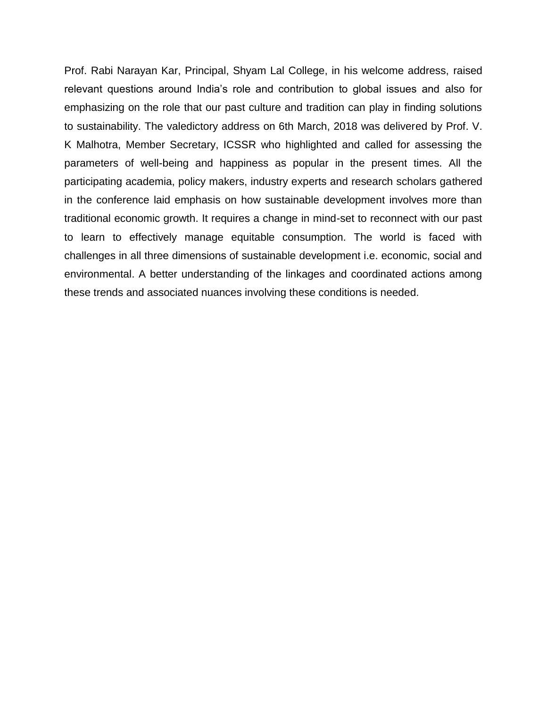Prof. Rabi Narayan Kar, Principal, Shyam Lal College, in his welcome address, raised relevant questions around India's role and contribution to global issues and also for emphasizing on the role that our past culture and tradition can play in finding solutions to sustainability. The valedictory address on 6th March, 2018 was delivered by Prof. V. K Malhotra, Member Secretary, ICSSR who highlighted and called for assessing the parameters of well-being and happiness as popular in the present times. All the participating academia, policy makers, industry experts and research scholars gathered in the conference laid emphasis on how sustainable development involves more than traditional economic growth. It requires a change in mind-set to reconnect with our past to learn to effectively manage equitable consumption. The world is faced with challenges in all three dimensions of sustainable development i.e. economic, social and environmental. A better understanding of the linkages and coordinated actions among these trends and associated nuances involving these conditions is needed.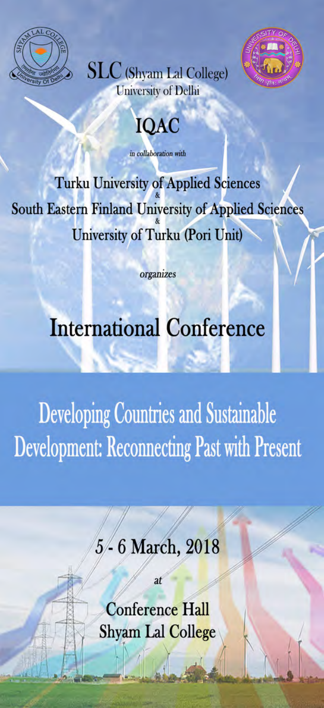







in collaboration with

**Turku University of Applied Sciences** South Eastern Finland University of Applied Sciences University of Turku (Pori Unit)

organizes

# **International Conference**

**Developing Countries and Sustainable Development: Reconnecting Past with Present** 

> - 6 March, 2018  $5/$

> > $\overline{a}$

**Conference Hall** Shyam Lal College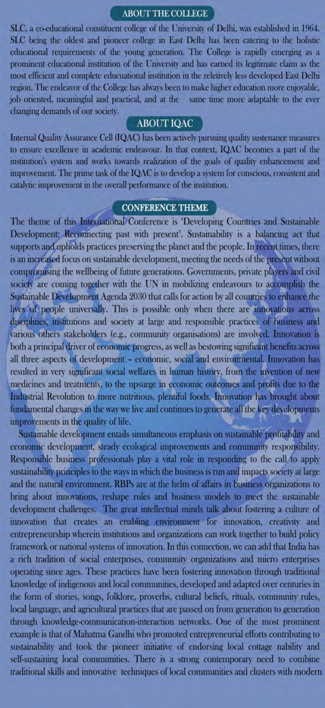## ABOUT THE COLLEGE

SLC, a co-educational constituent college of the University of Delhi, was established in 1964. SLC being the oldest and pioneer college in East Delhi has been catering to the holistic educational requirements of the young generation. The College is rapidly emerging as a prominent educational institution of the University and has earned its legitimate claim as the most efficient and complete educuational institution in the reletively less developed East Delhi region. The endeavor of the College has always been to make higher education more enjoyable, job oriented, meaningful and practical, and at the same time more adaptable to the ever changing demands of our society.

#### **ABOUT IQAC**

Internal Quality Assurance Cell (IQAC) has been actively pursuing quality sustenance measures to ensure excellence in academic endeavour. In that context, IQAC becomes a part of the institution's system and works towards realization of the goals of quality enhancement and improvement. The prime task of the IQAC is to develop a system for conscious, consistent and catalytic improvement in the overall performance of the institution.

#### **CONFERENCE THEME**

The theme of this International Conference is 'Developing Countries and Sustainable Development: Reconnecting past with present'. Sustainability is a balancing act that supports and upholds practices preserving the planet and the people. In recent times, there is an increased focus on sustainable development, meeting the needs of the present without compromising the wellbeing of future generations. Governments, private players and civil society are coming together with the UN in mobilizing endeavours to accomplish the Sustainable Development Agenda 2030 that calls for action by all countries to enhance the lives of people universally. This is possible only when there are innovations across disciplines, institutions and society at large and responsible practices of business and various others stakeholders (e.g., community organisations) are involved. Innovation is both a principal driver of economic progress, as well as bestowing significant benefits across all three aspects of development - economic, social and environmental. Innovation has resulted in very significant social welfares in human history, from the invention of new medicines and treatments, to the upsurge in economic outcomes and profits due to the Industrial Revolution to more nutritious, plentiful foods. Innovation has brought about fundamental changes in the way we live and continues to generate all the key developments improvements in the quality of life.

Sustainable development entails simultaneous emphasis on sustainable profitability and economic development, steady ecological improvements and community responsibility. Responsible business professionals play a vital role in responding to the call to apply sustainability principles to the ways in which the business is run and impacts society at large and the natural environment. RBPs are at the helm of affairs in business organizations to bring about innovations, reshape rules and business models to meet the sustainable development challenges. The great intellectual minds talk about fostering a culture of innovation that creates an enabling environment for innovation, creativity and entrepreneurship wherein institutions and organizations can work together to build policy framework or national systems of innovation. In this connection, we can add that India has a rich tradition of social enterprises, community organizations and micro enterprises operating since ages. These practices have been fostering innovation through traditional knowledge of indigenous and local communities, developed and adapted over centuries in the form of stories, songs, folklore, proverbs, cultural beliefs, rituals, community rules, local language, and agricultural practices that are passed on from generation to generation through knowledge-communication-interaction networks. One of the most prominent example is that of Mahatma Gandhi who promoted entrepreneurial efforts contributing to sustainability and took the pioneer initiative of endorsing local cottage nability and self-sustaining local communities. There is a strong contemporary need to combine traditional skills and innovative techniques of local communities and clusters with modern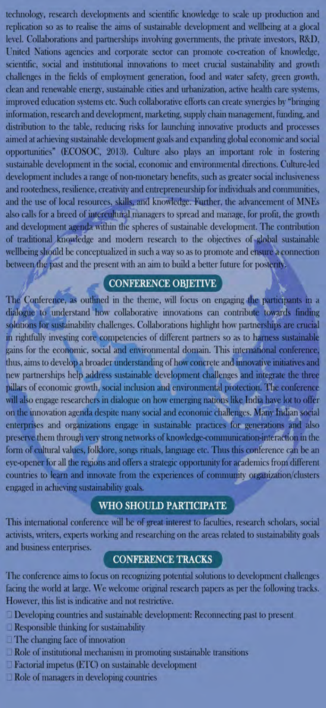technology, research developments and scientific knowledge to scale up production and replication so as to realise the aims of sustainable development and wellbeing at a glocal level. Collaborations and partnerships involving governments, the private investors, R&D, United Nations agencies and corporate sector can promote co-creation of knowledge, scientific, social and institutional innovations to meet crucial sustainability and growth challenges in the fields of employment generation, food and water safety, green growth, clean and renewable energy, sustainable cities and urbanization, active health care systems, improved education systems etc. Such collaborative efforts can create synergies by "bringing information, research and development, marketing, supply chain management, funding, and distribution to the table, reducing risks for launching innovative products and processes aimed at achieving sustainable development goals and expanding global economic and social opportunities" (ECOSOC, 2013). Culture also plays an important role in fostering sustainable development in the social, economic and environmental directions. Culture-led development includes a range of non-monetary benefits, such as greater social inclusiveness and rootedness, resilience, creativity and entrepreneurship for individuals and communities, and the use of local resources, skills, and knowledge. Further, the advancement of MNEs also calls for a breed of intercultural managers to spread and manage, for profit, the growth and development agenda within the spheres of sustainable development. The contribution of traditional knowledge and modern research to the objectives of global sustainable wellbeing should be conceptualized in such a way so as to promote and ensure a connection between the past and the present with an aim to build a better future for posterity.

## **CONFERENCE OBJETIVE**

The Conference, as outlined in the theme, will focus on engaging the participants in a dialogue to understand how collaborative innovations can contribute towards finding solutions for sustainability challenges. Collaborations highlight how partnerships are crucial in rightfully investing core competencies of different partners so as to harness sustainable gains for the economic, social and environmental domain. This international conference, thus, aims to develop a broader understanding of how concrete and innovative initiatives and new partnerships help address sustainable development challenges and integrate the three pillars of economic growth, social inclusion and environmental protection. The conference will also engage researchers in dialogue on how emerging nations like India have lot to offer on the innovation agenda despite many social and economic challenges. Many Indian social enterprises and organizations engage in sustainable practices for generations and also preserve them through very strong networks of knowledge-communication-interaction in the form of cultural values, folklore, songs rituals, language etc. Thus this conference can be an eye-opener for all the regions and offers a strategic opportunity for academics from different countries to learn and innovate from the experiences of community organization/clusters engaged in achieving sustainability goals.

#### **WHO SHOULD PARTICIPATE**

This international conference will be of great interest to faculties, research scholars, social activists, writers, experts working and researching on the areas related to sustainability goals and business enterprises.

#### **CONFERENCE TRACKS**

The conference aims to focus on recognizing potential solutions to development challenges facing the world at large. We welcome original research papers as per the following tracks. However, this list is indicative and not restrictive.

- <sup>1</sup> Developing countries and sustainable development: Reconnecting past to present
- $\Box$  Responsible thinking for sustainability
- $\Box$  The changing face of innovation
- $\Box$  Role of institutional mechanism in promoting sustainable transitions
- Factorial impetus (ETC) on sustainable development
- $\Box$  Role of managers in developing countries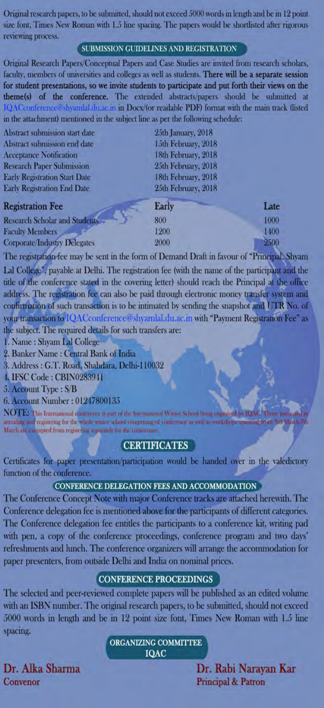Original research papers, to be submitted, should not exceed 5000 words in length and be in 12 point size font, Times New Roman with 1.5 line spacing. The papers would be shortlisted after rigorous reviewing process.

### SUBMISSION GUIDELINES AND REGISTRATION

Original Research Papers/Conceptual Papers and Case Studies are invited from research scholars, faculty, members of universities and colleges as well as students. There will be a separate session for student presentations, so we invite students to participate and put forth their views on the theme(s) of the conference. The extended abstracts/papers should be submitted at in Docx/(or readable PDF) format with the main track (listed in the attachment) mentioned in the subject line as per the following schedule:

| Abstract submission start date       | 25th January, 2018  |      |
|--------------------------------------|---------------------|------|
| Abstract submission end date         | 15th February, 2018 |      |
| <b>Acceptance Notification</b>       | 18th February, 2018 |      |
| <b>Research Paper Submission</b>     | 25th February, 2018 |      |
| <b>Early Registration Start Date</b> | 18th February, 2018 |      |
| <b>Early Registration End Date</b>   | 25th February, 2018 |      |
| <b>Registration Fee</b>              | <b>Early</b>        | Late |
| <b>Research Scholar and Students</b> | 800                 | 1000 |
| <b>Faculty Members</b>               | 1200                | 1400 |
| <b>Corporate/Industry Delegates</b>  | 2000                | 2500 |
|                                      |                     |      |

The registration fee may be sent in the form of Demand Draft in favour of "Principal, Shyam Lal College", payable at Delhi. The registration fee (with the name of the participant and the title of the conference stated in the covering letter) should reach the Principal at the office address. The registration fee can also be paid through electronic money transfer system and confirmation of such transaction is to be intimated by sending the snapshot and UTR No. of vour transaction to IQACconference@shyamlal.du.ac.in with "Payment Registration Fee" as the subject. The required details for such transfers are:

1. Name: Shyam Lal College

2. Banker Name: Central Bank of India

3. Address: G.T. Road, Shahdara, Delhi-110032

4. IFSC Code: CBIN0283941

5. Account Type: S/B

6. Account Number: 01247800135

NOTE: This International conference is part of the International Winter School being organized by IQAC. Those times attending and registering for the whole winter school comprising of conference as well as workshops uning from 3rd March-71 March are exempted from registering separately for the conference.

### **CERTIFICATES**

Certificates for paper presentation/participation would be handed over in the valedictory function of the conference.

### CONFERENCE DELEGATION FEES AND ACCOMMODATION

The Conference Concept Note with major Conference tracks are attached herewith. The Conference delegation fee is mentioned above for the participants of different categories. The Conference delegation fee entitles the participants to a conference kit, writing pad with pen, a copy of the conference proceedings, conference program and two days' refreshments and lunch. The conference organizers will arrange the accommodation for paper presenters, from outside Delhi and India on nominal prices.

#### **CONFERENCE PROCEEDINGS**

The selected and peer-reviewed complete papers will be published as an edited volume with an ISBN number. The original research papers, to be submitted, should not exceed 5000 words in length and be in 12 point size font, Times New Roman with 1.5 line spacing.

#### **ORGANIZING COMMITTEE IQAC**

Dr. Alka Sharma Convenor

Dr. Rabi Narayan Kar **Principal & Patron**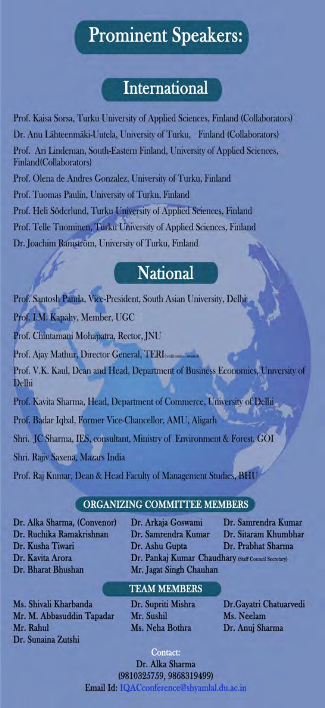# **Prominent Speakers:**

# **International**

Prof. Kaisa Sorsa, Turku University of Applied Sciences, Finland (Collaborators) Dr. Anu Lähteenmäki-Uutela, University of Turku, Finland (Collaborators) Prof. Ari Lindeman, South-Eastern Finland, University of Applied Sciences, Finland(Collaborators) Prof. Olena de Andres Gonzalez, University of Turku, Finland Prof. Tuomas Paulin, University of Turku, Finland Prof. Heli Söderlund, Turku University of Applied Sciences, Finland Prof. Telle Tuominen, Turku University of Applied Sciences, Finland Dr. Joachim Ramström, University of Turku, Finland

# **National**

Prof. Santosh Panda, Vice-President, South Asian University, Delhi Prof. I.M. Kapahy, Member, UGC Prof. Chintamani Mohapatra, Rector, JNU Prof. Ajay Mathur, Director General, TERI Prof. V.K. Kaul, Dean and Head, Department of Business Economics, University of Delhi Prof. Kavita Sharma, Head, Department of Commerce, University of Delhi Prof. Badar Iqbal, Former Vice-Chancellor, AMU, Aligarh Shri. JC Sharma, IES, consultant, Ministry of Environment & Forest, GOI Shri, Rajiv Saxena, Mazars India Prof. Raj Kumar, Dean & Head Faculty of Management Studies, BHI

## ORGANIZING COMMITTEE MEMBERS

Dr. Alka Sharma, (Convenor) Dr. Ruchika Ramakrishnan Dr. Kusha Tiwari Dr. Kavita Arora Dr. Bharat Bhushan

Dr. Arkaja Goswami Dr. Samrendra Kumar Dr. Ashu Gupta

Dr. Samrendra Kumar Dr. Sitaram Khumbhar Dr. Prabhat Sharma

Dr. Pankaj Kumar Chaudhary (Staff Council Secretary) Mr. Jagat Singh Chauhan

Ms. Shivali Kharbanda Mr. M. Abbasuddin Tapadar Mr. Rahul Dr. Sunaina Zutshi

# **TEAM MEMBERS**

Dr. Supriti Mishra Mr. Sushil Ms. Neha Bothra

Dr.Gayatri Chatuarvedi Ms. Neelam Dr. Anuj Sharma

Contact: Dr. Alka Sharma (9810325759, 9868319499) Email Id: IOACconference@shyamlal.du.ac.in